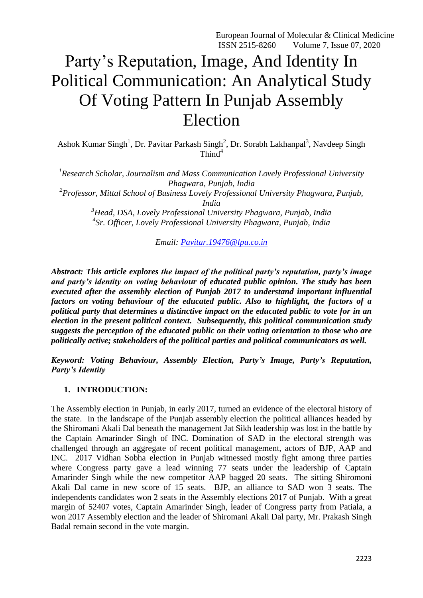# Party's Reputation, Image, And Identity In Political Communication: An Analytical Study Of Voting Pattern In Punjab Assembly Election

Ashok Kumar Singh<sup>1</sup>, Dr. Pavitar Parkash Singh<sup>2</sup>, Dr. Sorabh Lakhanpal<sup>3</sup>, Navdeep Singh  $Third<sup>4</sup>$ 

 *Research Scholar, Journalism and Mass Communication Lovely Professional University Phagwara, Punjab, India Professor, Mittal School of Business Lovely Professional University Phagwara, Punjab, India Head, DSA, Lovely Professional University Phagwara, Punjab, India Sr. Officer, Lovely Professional University Phagwara, Punjab, India*

*Email: [Pavitar.19476@lpu.co.in](mailto:Pavitar.19476@lpu.co.in)*

*Abstract: This article explores the impact of the political party's reputation, party's image and party's identity on voting behaviour of educated public opinion. The study has been executed after the assembly election of Punjab 2017 to understand important influential factors on voting behaviour of the educated public. Also to highlight, the factors of a political party that determines a distinctive impact on the educated public to vote for in an election in the present political context. Subsequently, this political communication study suggests the perception of the educated public on their voting orientation to those who are politically active; stakeholders of the political parties and political communicators as well.*

*Keyword: Voting Behaviour, Assembly Election, Party's Image, Party's Reputation, Party's Identity*

#### **1. INTRODUCTION:**

The Assembly election in Punjab, in early 2017, turned an evidence of the electoral history of the state. In the landscape of the Punjab assembly election the political alliances headed by the Shiromani Akali Dal beneath the management Jat Sikh leadership was lost in the battle by the Captain Amarinder Singh of INC. Domination of SAD in the electoral strength was challenged through an aggregate of recent political management, actors of BJP, AAP and INC. 2017 Vidhan Sobha election in Punjab witnessed mostly fight among three parties where Congress party gave a lead winning 77 seats under the leadership of Captain Amarinder Singh while the new competitor AAP bagged 20 seats. The sitting Shiromoni Akali Dal came in new score of 15 seats. BJP, an alliance to SAD won 3 seats. The independents candidates won 2 seats in the Assembly elections 2017 of Punjab. With a great margin of 52407 votes, Captain Amarinder Singh, leader of Congress party from Patiala, a won 2017 Assembly election and the leader of Shiromani Akali Dal party, Mr. Prakash Singh Badal remain second in the vote margin.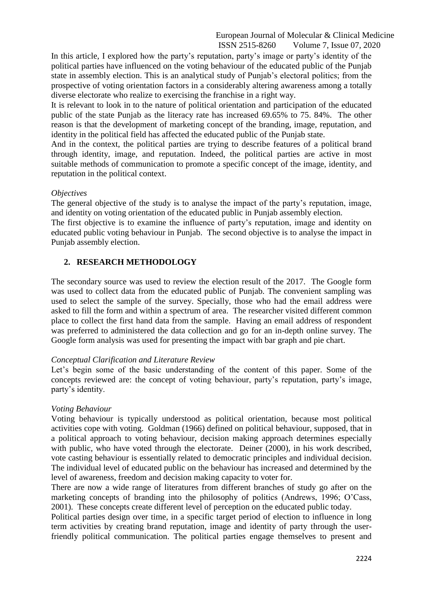In this article, I explored how the party's reputation, party's image or party's identity of the political parties have influenced on the voting behaviour of the educated public of the Punjab state in assembly election. This is an analytical study of Punjab's electoral politics; from the prospective of voting orientation factors in a considerably altering awareness among a totally diverse electorate who realize to exercising the franchise in a right way.

It is relevant to look in to the nature of political orientation and participation of the educated public of the state Punjab as the literacy rate has increased 69.65% to 75. 84%. The other reason is that the development of marketing concept of the branding, image, reputation, and identity in the political field has affected the educated public of the Punjab state.

And in the context, the political parties are trying to describe features of a political brand through identity, image, and reputation. Indeed, the political parties are active in most suitable methods of communication to promote a specific concept of the image, identity, and reputation in the political context.

#### *Objectives*

The general objective of the study is to analyse the impact of the party's reputation, image, and identity on voting orientation of the educated public in Punjab assembly election.

The first objective is to examine the influence of party's reputation, image and identity on educated public voting behaviour in Punjab. The second objective is to analyse the impact in Punjab assembly election.

# **2. RESEARCH METHODOLOGY**

The secondary source was used to review the election result of the 2017. The Google form was used to collect data from the educated public of Punjab. The convenient sampling was used to select the sample of the survey. Specially, those who had the email address were asked to fill the form and within a spectrum of area. The researcher visited different common place to collect the first hand data from the sample. Having an email address of respondent was preferred to administered the data collection and go for an in-depth online survey. The Google form analysis was used for presenting the impact with bar graph and pie chart.

# *Conceptual Clarification and Literature Review*

Let's begin some of the basic understanding of the content of this paper. Some of the concepts reviewed are: the concept of voting behaviour, party's reputation, party's image, party's identity.

#### *Voting Behaviour*

Voting behaviour is typically understood as political orientation, because most political activities cope with voting. Goldman (1966) defined on political behaviour, supposed, that in a political approach to voting behaviour, decision making approach determines especially with public, who have voted through the electorate. Deiner (2000), in his work described, vote casting behaviour is essentially related to democratic principles and individual decision. The individual level of educated public on the behaviour has increased and determined by the level of awareness, freedom and decision making capacity to voter for.

There are now a wide range of literatures from different branches of study go after on the marketing concepts of branding into the philosophy of politics (Andrews, 1996; O'Cass, 2001). These concepts create different level of perception on the educated public today.

Political parties design over time, in a specific target period of election to influence in long term activities by creating brand reputation, image and identity of party through the userfriendly political communication. The political parties engage themselves to present and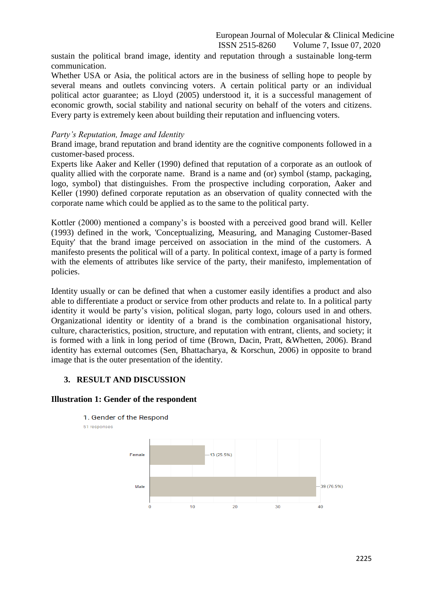sustain the political brand image, identity and reputation through a sustainable long-term communication.

Whether USA or Asia, the political actors are in the business of selling hope to people by several means and outlets convincing voters. A certain political party or an individual political actor guarantee; as Lloyd (2005) understood it, it is a successful management of economic growth, social stability and national security on behalf of the voters and citizens. Every party is extremely keen about building their reputation and influencing voters.

#### *Party's Reputation, Image and Identity*

Brand image, brand reputation and brand identity are the cognitive components followed in a customer-based process.

Experts like Aaker and Keller (1990) defined that reputation of a corporate as an outlook of quality allied with the corporate name. Brand is a name and (or) symbol (stamp, packaging, logo, symbol) that distinguishes. From the prospective including corporation, Aaker and Keller (1990) defined corporate reputation as an observation of quality connected with the corporate name which could be applied as to the same to the political party.

Kottler (2000) mentioned a company's is boosted with a perceived good brand will. Keller (1993) defined in the work, 'Conceptualizing, Measuring, and Managing Customer-Based Equity' that the brand image perceived on association in the mind of the customers. A manifesto presents the political will of a party. In political context, image of a party is formed with the elements of attributes like service of the party, their manifesto, implementation of policies.

Identity usually or can be defined that when a customer easily identifies a product and also able to differentiate a product or service from other products and relate to. In a political party identity it would be party's vision, political slogan, party logo, colours used in and others. Organizational identity or identity of a brand is the combination organisational history, culture, characteristics, position, structure, and reputation with entrant, clients, and society; it is formed with a link in long period of time (Brown, Dacin, Pratt, &Whetten, 2006). Brand identity has external outcomes (Sen, Bhattacharya, & Korschun, 2006) in opposite to brand image that is the outer presentation of the identity.

# **3. RESULT AND DISCUSSION**

#### **Illustration 1: Gender of the respondent**



1. Gender of the Respond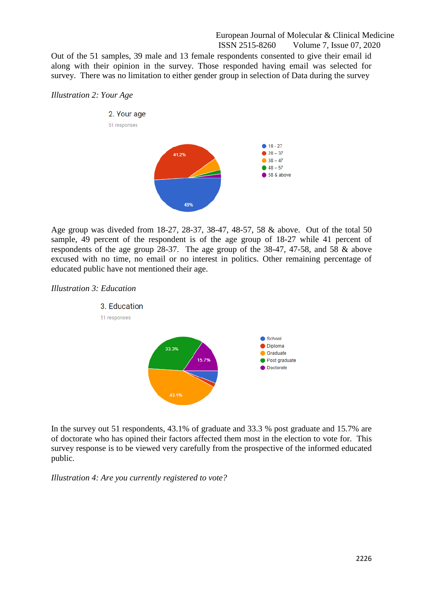Out of the 51 samples, 39 male and 13 female respondents consented to give their email id along with their opinion in the survey. Those responded having email was selected for survey. There was no limitation to either gender group in selection of Data during the survey



*Illustration 2: Your Age*

Age group was diveded from 18-27, 28-37, 38-47, 48-57, 58 & above. Out of the total 50 sample, 49 percent of the respondent is of the age group of 18-27 while 41 percent of respondents of the age group 28-37. The age group of the 38-47, 47-58, and 58 & above excused with no time, no email or no interest in politics. Other remaining percentage of educated public have not mentioned their age.





In the survey out 51 respondents, 43.1% of graduate and 33.3 % post graduate and 15.7% are of doctorate who has opined their factors affected them most in the election to vote for. This survey response is to be viewed very carefully from the prospective of the informed educated public.

*Illustration 4: Are you currently registered to vote?*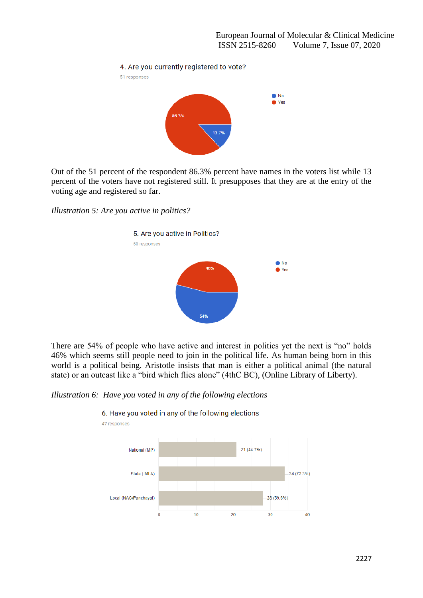



Out of the 51 percent of the respondent 86.3% percent have names in the voters list while 13 percent of the voters have not registered still. It presupposes that they are at the entry of the voting age and registered so far.

*Illustration 5: Are you active in politics?*



There are 54% of people who have active and interest in politics yet the next is "no" holds 46% which seems still people need to join in the political life. As human being born in this world is a political being. Aristotle insists that man is either a political animal (the natural state) or an outcast like a "bird which flies alone" (4thC BC), (Online Library of Liberty).

*Illustration 6: Have you voted in any of the following elections*



6. Have you voted in any of the following elections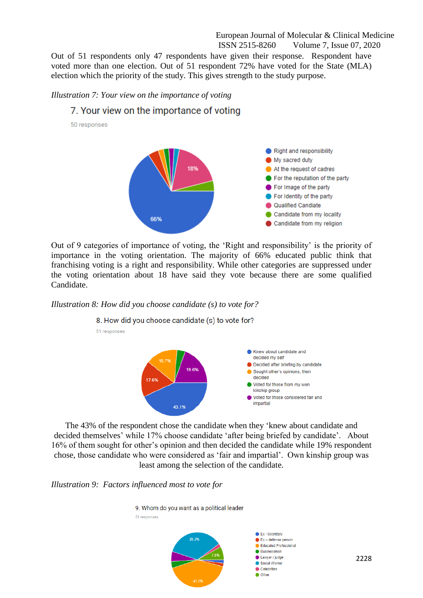Out of 51 respondents only 47 respondents have given their response. Respondent have voted more than one election. Out of 51 respondent 72% have voted for the State (MLA) election which the priority of the study. This gives strength to the study purpose.

*Illustration 7: Your view on the importance of voting*

# 7. Your view on the importance of voting

50 responses



Out of 9 categories of importance of voting, the 'Right and responsibility' is the priority of importance in the voting orientation. The majority of 66% educated public think that franchising voting is a right and responsibility. While other categories are suppressed under the voting orientation about 18 have said they vote because there are some qualified Candidate.

# *Illustration 8: How did you choose candidate (s) to vote for?*



The 43% of the respondent chose the candidate when they 'knew about candidate and decided themselves' while 17% choose candidate 'after being briefed by candidate'. About 16% of them sought for other's opinion and then decided the candidate while 19% respondent chose, those candidate who were considered as 'fair and impartial'. Own kinship group was least among the selection of the candidate.

*Illustration 9: Factors influenced most to vote for*

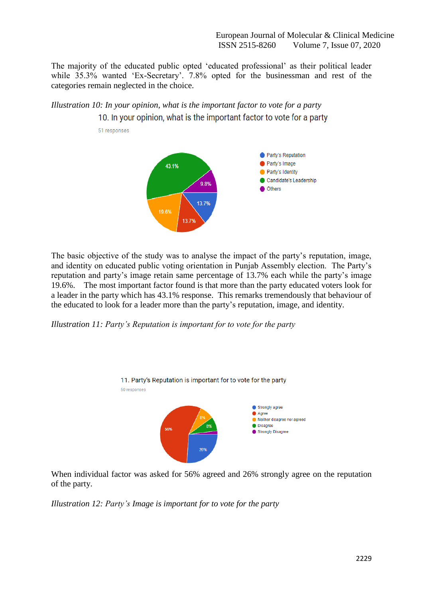The majority of the educated public opted 'educated professional' as their political leader while  $35.3\%$  wanted 'Ex-Secretary'. 7.8% opted for the businessman and rest of the categories remain neglected in the choice.

# *Illustration 10: In your opinion, what is the important factor to vote for a party* 10. In your opinion, what is the important factor to vote for a party



The basic objective of the study was to analyse the impact of the party's reputation, image, and identity on educated public voting orientation in Punjab Assembly election. The Party's reputation and party's image retain same percentage of 13.7% each while the party's image 19.6%. The most important factor found is that more than the party educated voters look for a leader in the party which has 43.1% response. This remarks tremendously that behaviour of the educated to look for a leader more than the party's reputation, image, and identity.

*Illustration 11: Party's Reputation is important for to vote for the party*



When individual factor was asked for 56% agreed and 26% strongly agree on the reputation of the party.

*Illustration 12: Party's Image is important for to vote for the party*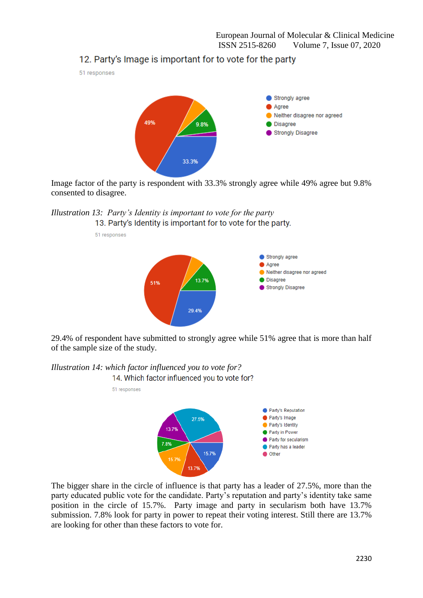12. Party's Image is important for to vote for the party

51 responses

51 responses



Image factor of the party is respondent with 33.3% strongly agree while 49% agree but 9.8% consented to disagree.

*Illustration 13: Party's Identity is important to vote for the party* 13. Party's Identity is important for to vote for the party.



29.4% of respondent have submitted to strongly agree while 51% agree that is more than half of the sample size of the study.



The bigger share in the circle of influence is that party has a leader of 27.5%, more than the party educated public vote for the candidate. Party's reputation and party's identity take same position in the circle of 15.7%. Party image and party in secularism both have 13.7% submission. 7.8% look for party in power to repeat their voting interest. Still there are 13.7% are looking for other than these factors to vote for.